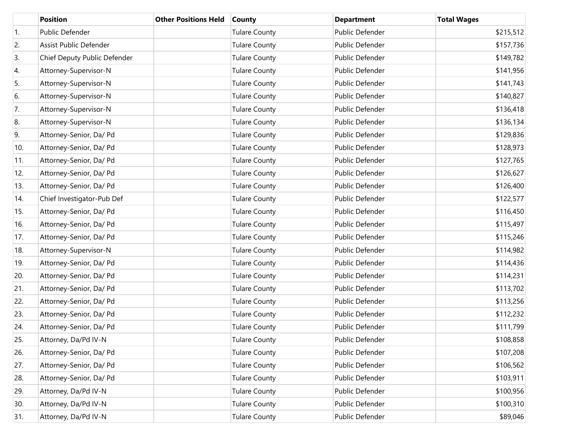|            | <b>Position</b>              | <b>Other Positions Held</b> | <b>County</b>        | <b>Department</b> | <b>Total Wages</b> |
|------------|------------------------------|-----------------------------|----------------------|-------------------|--------------------|
| $\vert$ 1. | Public Defender              |                             | <b>Tulare County</b> | Public Defender   | \$215,512          |
| 2.         | Assist Public Defender       |                             | <b>Tulare County</b> | Public Defender   | \$157,736          |
| 3.         | Chief Deputy Public Defender |                             | <b>Tulare County</b> | Public Defender   | \$149,782          |
| 4.         | Attorney-Supervisor-N        |                             | <b>Tulare County</b> | Public Defender   | \$141,956          |
| 5.         | Attorney-Supervisor-N        |                             | <b>Tulare County</b> | Public Defender   | \$141,743          |
| 6.         | Attorney-Supervisor-N        |                             | <b>Tulare County</b> | Public Defender   | \$140,827          |
| 7.         | Attorney-Supervisor-N        |                             | <b>Tulare County</b> | Public Defender   | \$136,418          |
| 8.         | Attorney-Supervisor-N        |                             | <b>Tulare County</b> | Public Defender   | \$136,134          |
| 9.         | Attorney-Senior, Da/ Pd      |                             | <b>Tulare County</b> | Public Defender   | \$129,836          |
| 10.        | Attorney-Senior, Da/ Pd      |                             | <b>Tulare County</b> | Public Defender   | \$128,973          |
| 11.        | Attorney-Senior, Da/ Pd      |                             | <b>Tulare County</b> | Public Defender   | \$127,765          |
| 12.        | Attorney-Senior, Da/ Pd      |                             | <b>Tulare County</b> | Public Defender   | \$126,627          |
| 13.        | Attorney-Senior, Da/ Pd      |                             | <b>Tulare County</b> | Public Defender   | \$126,400          |
| 14.        | Chief Investigator-Pub Def   |                             | <b>Tulare County</b> | Public Defender   | \$122,577          |
| 15.        | Attorney-Senior, Da/ Pd      |                             | <b>Tulare County</b> | Public Defender   | \$116,450          |
| 16.        | Attorney-Senior, Da/ Pd      |                             | <b>Tulare County</b> | Public Defender   | \$115,497          |
| 17.        | Attorney-Senior, Da/ Pd      |                             | <b>Tulare County</b> | Public Defender   | \$115,246          |
| 18.        | Attorney-Supervisor-N        |                             | <b>Tulare County</b> | Public Defender   | \$114,982          |
| 19.        | Attorney-Senior, Da/ Pd      |                             | <b>Tulare County</b> | Public Defender   | \$114,436          |
| 20.        | Attorney-Senior, Da/ Pd      |                             | <b>Tulare County</b> | Public Defender   | \$114,231          |
| 21.        | Attorney-Senior, Da/ Pd      |                             | <b>Tulare County</b> | Public Defender   | \$113,702          |
| 22.        | Attorney-Senior, Da/ Pd      |                             | <b>Tulare County</b> | Public Defender   | \$113,256          |
| 23.        | Attorney-Senior, Da/ Pd      |                             | <b>Tulare County</b> | Public Defender   | \$112,232          |
| 24.        | Attorney-Senior, Da/ Pd      |                             | <b>Tulare County</b> | Public Defender   | \$111,799          |
| 25.        | Attorney, Da/Pd IV-N         |                             | <b>Tulare County</b> | Public Defender   | \$108,858          |
| 26.        | Attorney-Senior, Da/ Pd      |                             | <b>Tulare County</b> | Public Defender   | \$107,208          |
| 27.        | Attorney-Senior, Da/ Pd      |                             | <b>Tulare County</b> | Public Defender   | \$106,562          |
| 28.        | Attorney-Senior, Da/ Pd      |                             | <b>Tulare County</b> | Public Defender   | \$103,911          |
| 29.        | Attorney, Da/Pd IV-N         |                             | <b>Tulare County</b> | Public Defender   | \$100,956          |
| 30.        | Attorney, Da/Pd IV-N         |                             | <b>Tulare County</b> | Public Defender   | \$100,310          |
| 31.        | Attorney, Da/Pd IV-N         |                             | <b>Tulare County</b> | Public Defender   | \$89,046           |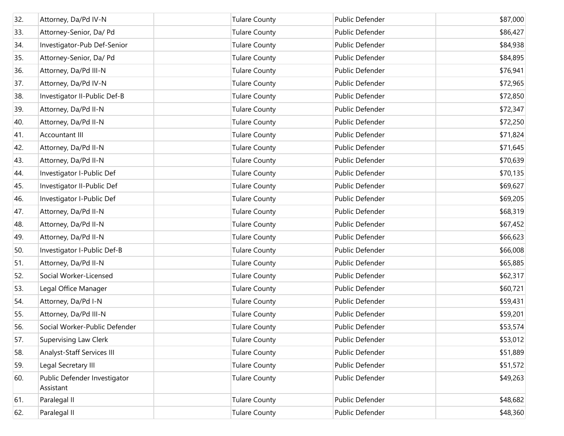| 32. | Attorney, Da/Pd IV-N                      | <b>Tulare County</b> | Public Defender | \$87,000 |
|-----|-------------------------------------------|----------------------|-----------------|----------|
| 33. | Attorney-Senior, Da/ Pd                   | <b>Tulare County</b> | Public Defender | \$86,427 |
| 34. | Investigator-Pub Def-Senior               | <b>Tulare County</b> | Public Defender | \$84,938 |
| 35. | Attorney-Senior, Da/ Pd                   | <b>Tulare County</b> | Public Defender | \$84,895 |
| 36. | Attorney, Da/Pd III-N                     | <b>Tulare County</b> | Public Defender | \$76,941 |
| 37. | Attorney, Da/Pd IV-N                      | <b>Tulare County</b> | Public Defender | \$72,965 |
| 38. | Investigator II-Public Def-B              | <b>Tulare County</b> | Public Defender | \$72,850 |
| 39. | Attorney, Da/Pd II-N                      | <b>Tulare County</b> | Public Defender | \$72,347 |
| 40. | Attorney, Da/Pd II-N                      | <b>Tulare County</b> | Public Defender | \$72,250 |
| 41. | <b>Accountant III</b>                     | <b>Tulare County</b> | Public Defender | \$71,824 |
| 42. | Attorney, Da/Pd II-N                      | <b>Tulare County</b> | Public Defender | \$71,645 |
| 43. | Attorney, Da/Pd II-N                      | <b>Tulare County</b> | Public Defender | \$70,639 |
| 44. | Investigator I-Public Def                 | <b>Tulare County</b> | Public Defender | \$70,135 |
| 45. | Investigator II-Public Def                | <b>Tulare County</b> | Public Defender | \$69,627 |
| 46. | Investigator I-Public Def                 | <b>Tulare County</b> | Public Defender | \$69,205 |
| 47. | Attorney, Da/Pd II-N                      | <b>Tulare County</b> | Public Defender | \$68,319 |
| 48. | Attorney, Da/Pd II-N                      | <b>Tulare County</b> | Public Defender | \$67,452 |
| 49. | Attorney, Da/Pd II-N                      | <b>Tulare County</b> | Public Defender | \$66,623 |
| 50. | Investigator I-Public Def-B               | <b>Tulare County</b> | Public Defender | \$66,008 |
| 51. | Attorney, Da/Pd II-N                      | <b>Tulare County</b> | Public Defender | \$65,885 |
| 52. | Social Worker-Licensed                    | <b>Tulare County</b> | Public Defender | \$62,317 |
| 53. | Legal Office Manager                      | <b>Tulare County</b> | Public Defender | \$60,721 |
| 54. | Attorney, Da/Pd I-N                       | <b>Tulare County</b> | Public Defender | \$59,431 |
| 55. | Attorney, Da/Pd III-N                     | <b>Tulare County</b> | Public Defender | \$59,201 |
| 56. | Social Worker-Public Defender             | <b>Tulare County</b> | Public Defender | \$53,574 |
| 57. | Supervising Law Clerk                     | <b>Tulare County</b> | Public Defender | \$53,012 |
| 58. | Analyst-Staff Services III                | <b>Tulare County</b> | Public Defender | \$51,889 |
| 59. | Legal Secretary III                       | <b>Tulare County</b> | Public Defender | \$51,572 |
| 60. | Public Defender Investigator<br>Assistant | <b>Tulare County</b> | Public Defender | \$49,263 |
| 61. | Paralegal II                              | <b>Tulare County</b> | Public Defender | \$48,682 |
| 62. | Paralegal II                              | <b>Tulare County</b> | Public Defender | \$48,360 |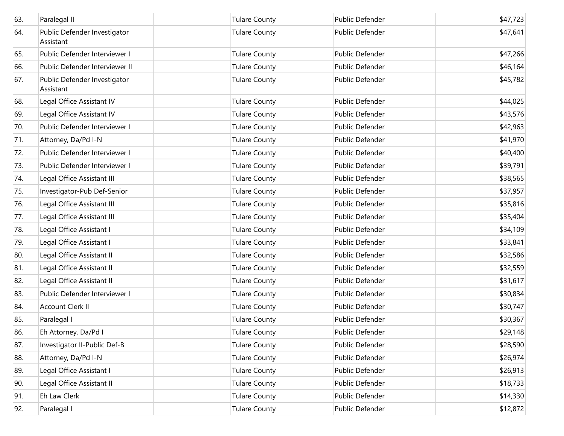| 63. | Paralegal II                              | <b>Tulare County</b> | Public Defender        | \$47,723 |
|-----|-------------------------------------------|----------------------|------------------------|----------|
|     |                                           |                      |                        |          |
| 64. | Public Defender Investigator<br>Assistant | <b>Tulare County</b> | Public Defender        | \$47,641 |
| 65. | Public Defender Interviewer I             | <b>Tulare County</b> | Public Defender        | \$47,266 |
| 66. | Public Defender Interviewer II            | <b>Tulare County</b> | Public Defender        | \$46,164 |
| 67. | Public Defender Investigator<br>Assistant | <b>Tulare County</b> | Public Defender        | \$45,782 |
| 68. | Legal Office Assistant IV                 | <b>Tulare County</b> | <b>Public Defender</b> | \$44,025 |
| 69. | Legal Office Assistant IV                 | <b>Tulare County</b> | Public Defender        | \$43,576 |
| 70. | Public Defender Interviewer I             | <b>Tulare County</b> | Public Defender        | \$42,963 |
| 71. | Attorney, Da/Pd I-N                       | <b>Tulare County</b> | Public Defender        | \$41,970 |
| 72. | Public Defender Interviewer I             | <b>Tulare County</b> | Public Defender        | \$40,400 |
| 73. | Public Defender Interviewer I             | <b>Tulare County</b> | Public Defender        | \$39,791 |
| 74. | Legal Office Assistant III                | <b>Tulare County</b> | Public Defender        | \$38,565 |
| 75. | Investigator-Pub Def-Senior               | <b>Tulare County</b> | Public Defender        | \$37,957 |
| 76. | Legal Office Assistant III                | <b>Tulare County</b> | Public Defender        | \$35,816 |
| 77. | Legal Office Assistant III                | <b>Tulare County</b> | Public Defender        | \$35,404 |
| 78. | Legal Office Assistant I                  | <b>Tulare County</b> | Public Defender        | \$34,109 |
| 79. | Legal Office Assistant I                  | <b>Tulare County</b> | Public Defender        | \$33,841 |
| 80. | Legal Office Assistant II                 | <b>Tulare County</b> | Public Defender        | \$32,586 |
| 81. | Legal Office Assistant II                 | Tulare County        | Public Defender        | \$32,559 |
| 82. | Legal Office Assistant II                 | <b>Tulare County</b> | Public Defender        | \$31,617 |
| 83. | Public Defender Interviewer I             | <b>Tulare County</b> | Public Defender        | \$30,834 |
| 84. | <b>Account Clerk II</b>                   | <b>Tulare County</b> | Public Defender        | \$30,747 |
| 85. | Paralegal I                               | <b>Tulare County</b> | <b>Public Defender</b> | \$30,367 |
| 86. | Eh Attorney, Da/Pd I                      | <b>Tulare County</b> | Public Defender        | \$29,148 |
| 87. | Investigator II-Public Def-B              | <b>Tulare County</b> | Public Defender        | \$28,590 |
| 88. | Attorney, Da/Pd I-N                       | <b>Tulare County</b> | Public Defender        | \$26,974 |
| 89. | Legal Office Assistant I                  | <b>Tulare County</b> | Public Defender        | \$26,913 |
| 90. | Legal Office Assistant II                 | <b>Tulare County</b> | Public Defender        | \$18,733 |
| 91. | Eh Law Clerk                              | <b>Tulare County</b> | Public Defender        | \$14,330 |
| 92. | Paralegal I                               | <b>Tulare County</b> | Public Defender        | \$12,872 |